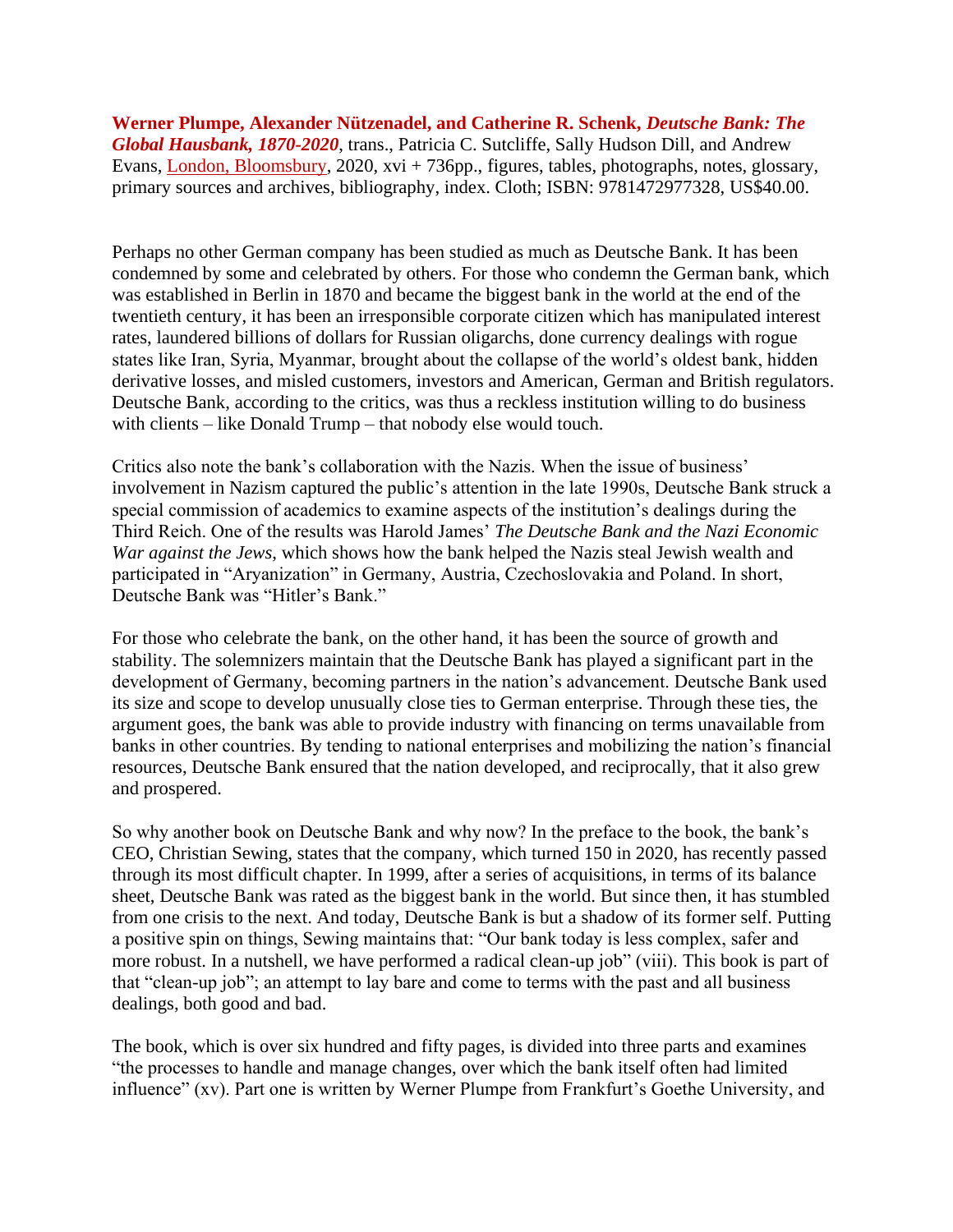**Werner Plumpe, Alexander Nützenadel, and Catherine R. Schenk,** *Deutsche Bank: The Global Hausbank, 1870-2020*, trans., Patricia C. Sutcliffe, Sally Hudson Dill, and Andrew Evans, [London, Bloomsbury,](https://www.bloomsbury.com/us/deutsche-bank-the-global-hausbank-1870--2020-9781472977328/) 2020, xvi + 736pp., figures, tables, photographs, notes, glossary, primary sources and archives, bibliography, index. Cloth; ISBN: 9781472977328, US\$40.00.

Perhaps no other German company has been studied as much as Deutsche Bank. It has been condemned by some and celebrated by others. For those who condemn the German bank, which was established in Berlin in 1870 and became the biggest bank in the world at the end of the twentieth century, it has been an irresponsible corporate citizen which has manipulated interest rates, laundered billions of dollars for Russian oligarchs, done currency dealings with rogue states like Iran, Syria, Myanmar, brought about the collapse of the world's oldest bank, hidden derivative losses, and misled customers, investors and American, German and British regulators. Deutsche Bank, according to the critics, was thus a reckless institution willing to do business with clients – like Donald Trump – that nobody else would touch.

Critics also note the bank's collaboration with the Nazis. When the issue of business' involvement in Nazism captured the public's attention in the late 1990s, Deutsche Bank struck a special commission of academics to examine aspects of the institution's dealings during the Third Reich. One of the results was Harold James' *The Deutsche Bank and the Nazi Economic War against the Jews*, which shows how the bank helped the Nazis steal Jewish wealth and participated in "Aryanization" in Germany, Austria, Czechoslovakia and Poland. In short, Deutsche Bank was "Hitler's Bank."

For those who celebrate the bank, on the other hand, it has been the source of growth and stability. The solemnizers maintain that the Deutsche Bank has played a significant part in the development of Germany, becoming partners in the nation's advancement. Deutsche Bank used its size and scope to develop unusually close ties to German enterprise. Through these ties, the argument goes, the bank was able to provide industry with financing on terms unavailable from banks in other countries. By tending to national enterprises and mobilizing the nation's financial resources, Deutsche Bank ensured that the nation developed, and reciprocally, that it also grew and prospered.

So why another book on Deutsche Bank and why now? In the preface to the book, the bank's CEO, Christian Sewing, states that the company, which turned 150 in 2020, has recently passed through its most difficult chapter. In 1999, after a series of acquisitions, in terms of its balance sheet, Deutsche Bank was rated as the biggest bank in the world. But since then, it has stumbled from one crisis to the next. And today, Deutsche Bank is but a shadow of its former self. Putting a positive spin on things, Sewing maintains that: "Our bank today is less complex, safer and more robust. In a nutshell, we have performed a radical clean-up job" (viii). This book is part of that "clean-up job"; an attempt to lay bare and come to terms with the past and all business dealings, both good and bad.

The book, which is over six hundred and fifty pages, is divided into three parts and examines "the processes to handle and manage changes, over which the bank itself often had limited influence" (xv). Part one is written by Werner Plumpe from Frankfurt's Goethe University, and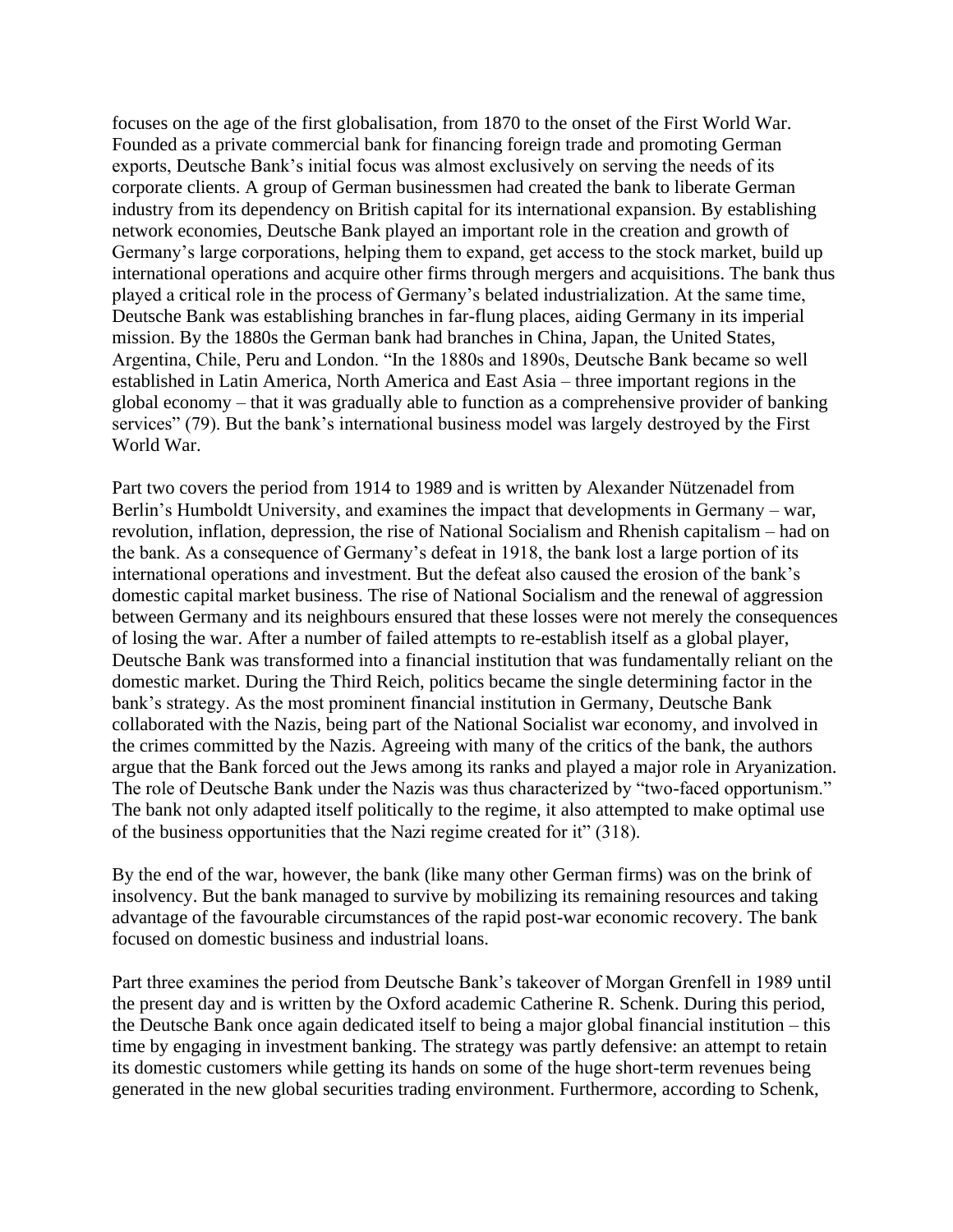focuses on the age of the first globalisation, from 1870 to the onset of the First World War. Founded as a private commercial bank for financing foreign trade and promoting German exports, Deutsche Bank's initial focus was almost exclusively on serving the needs of its corporate clients. A group of German businessmen had created the bank to liberate German industry from its dependency on British capital for its international expansion. By establishing network economies, Deutsche Bank played an important role in the creation and growth of Germany's large corporations, helping them to expand, get access to the stock market, build up international operations and acquire other firms through mergers and acquisitions. The bank thus played a critical role in the process of Germany's belated industrialization. At the same time, Deutsche Bank was establishing branches in far-flung places, aiding Germany in its imperial mission. By the 1880s the German bank had branches in China, Japan, the United States, Argentina, Chile, Peru and London. "In the 1880s and 1890s, Deutsche Bank became so well established in Latin America, North America and East Asia – three important regions in the global economy – that it was gradually able to function as a comprehensive provider of banking services" (79). But the bank's international business model was largely destroyed by the First World War.

Part two covers the period from 1914 to 1989 and is written by Alexander Nützenadel from Berlin's Humboldt University, and examines the impact that developments in Germany – war, revolution, inflation, depression, the rise of National Socialism and Rhenish capitalism – had on the bank. As a consequence of Germany's defeat in 1918, the bank lost a large portion of its international operations and investment. But the defeat also caused the erosion of the bank's domestic capital market business. The rise of National Socialism and the renewal of aggression between Germany and its neighbours ensured that these losses were not merely the consequences of losing the war. After a number of failed attempts to re-establish itself as a global player, Deutsche Bank was transformed into a financial institution that was fundamentally reliant on the domestic market. During the Third Reich, politics became the single determining factor in the bank's strategy. As the most prominent financial institution in Germany, Deutsche Bank collaborated with the Nazis, being part of the National Socialist war economy, and involved in the crimes committed by the Nazis. Agreeing with many of the critics of the bank, the authors argue that the Bank forced out the Jews among its ranks and played a major role in Aryanization. The role of Deutsche Bank under the Nazis was thus characterized by "two-faced opportunism." The bank not only adapted itself politically to the regime, it also attempted to make optimal use of the business opportunities that the Nazi regime created for it" (318).

By the end of the war, however, the bank (like many other German firms) was on the brink of insolvency. But the bank managed to survive by mobilizing its remaining resources and taking advantage of the favourable circumstances of the rapid post-war economic recovery. The bank focused on domestic business and industrial loans.

Part three examines the period from Deutsche Bank's takeover of Morgan Grenfell in 1989 until the present day and is written by the Oxford academic Catherine R. Schenk. During this period, the Deutsche Bank once again dedicated itself to being a major global financial institution – this time by engaging in investment banking. The strategy was partly defensive: an attempt to retain its domestic customers while getting its hands on some of the huge short-term revenues being generated in the new global securities trading environment. Furthermore, according to Schenk,